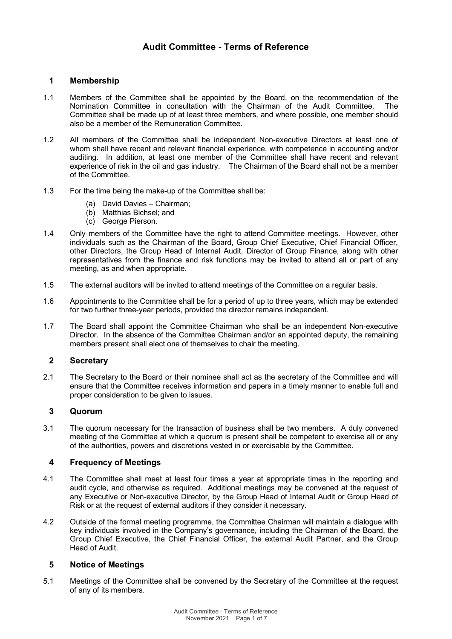# **1 Membership**

- 1.1 Members of the Committee shall be appointed by the Board, on the recommendation of the Nomination Committee in consultation with the Chairman of the Audit Committee. The Committee shall be made up of at least three members, and where possible, one member should also be a member of the Remuneration Committee.
- 1.2 All members of the Committee shall be independent Non-executive Directors at least one of whom shall have recent and relevant financial experience, with competence in accounting and/or auditing. In addition, at least one member of the Committee shall have recent and relevant experience of risk in the oil and gas industry. The Chairman of the Board shall not be a member of the Committee.
- 1.3 For the time being the make-up of the Committee shall be:
	- (a) David Davies Chairman;
	- (b) Matthias Bichsel; and
	- (c) George Pierson.
- 1.4 Only members of the Committee have the right to attend Committee meetings. However, other individuals such as the Chairman of the Board, Group Chief Executive, Chief Financial Officer, other Directors, the Group Head of Internal Audit, Director of Group Finance, along with other representatives from the finance and risk functions may be invited to attend all or part of any meeting, as and when appropriate.
- 1.5 The external auditors will be invited to attend meetings of the Committee on a regular basis.
- 1.6 Appointments to the Committee shall be for a period of up to three years, which may be extended for two further three-year periods, provided the director remains independent.
- 1.7 The Board shall appoint the Committee Chairman who shall be an independent Non-executive Director. In the absence of the Committee Chairman and/or an appointed deputy, the remaining members present shall elect one of themselves to chair the meeting.

### **2 Secretary**

2.1 The Secretary to the Board or their nominee shall act as the secretary of the Committee and will ensure that the Committee receives information and papers in a timely manner to enable full and proper consideration to be given to issues.

## **3 Quorum**

3.1 The quorum necessary for the transaction of business shall be two members. A duly convened meeting of the Committee at which a quorum is present shall be competent to exercise all or any of the authorities, powers and discretions vested in or exercisable by the Committee.

#### **4 Frequency of Meetings**

- 4.1 The Committee shall meet at least four times a year at appropriate times in the reporting and audit cycle, and otherwise as required. Additional meetings may be convened at the request of any Executive or Non-executive Director, by the Group Head of Internal Audit or Group Head of Risk or at the request of external auditors if they consider it necessary.
- 4.2 Outside of the formal meeting programme, the Committee Chairman will maintain a dialogue with key individuals involved in the Company's governance, including the Chairman of the Board, the Group Chief Executive, the Chief Financial Officer, the external Audit Partner, and the Group Head of Audit.

#### **5 Notice of Meetings**

5.1 Meetings of the Committee shall be convened by the Secretary of the Committee at the request of any of its members.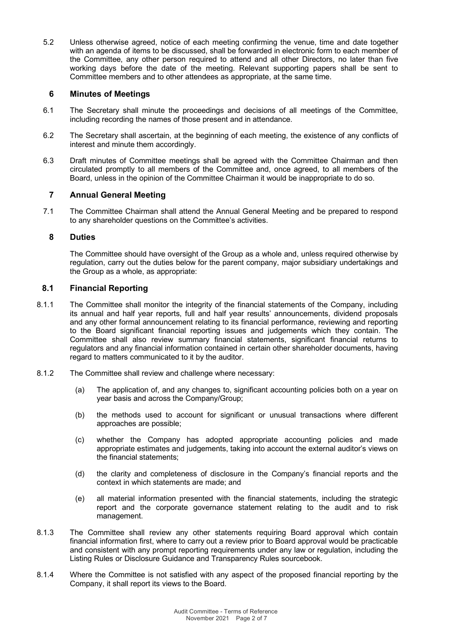5.2 Unless otherwise agreed, notice of each meeting confirming the venue, time and date together with an agenda of items to be discussed, shall be forwarded in electronic form to each member of the Committee, any other person required to attend and all other Directors, no later than five working days before the date of the meeting. Relevant supporting papers shall be sent to Committee members and to other attendees as appropriate, at the same time.

## **6 Minutes of Meetings**

- 6.1 The Secretary shall minute the proceedings and decisions of all meetings of the Committee, including recording the names of those present and in attendance.
- 6.2 The Secretary shall ascertain, at the beginning of each meeting, the existence of any conflicts of interest and minute them accordingly.
- 6.3 Draft minutes of Committee meetings shall be agreed with the Committee Chairman and then circulated promptly to all members of the Committee and, once agreed, to all members of the Board, unless in the opinion of the Committee Chairman it would be inappropriate to do so.

# **7 Annual General Meeting**

7.1 The Committee Chairman shall attend the Annual General Meeting and be prepared to respond to any shareholder questions on the Committee's activities.

## **8 Duties**

The Committee should have oversight of the Group as a whole and, unless required otherwise by regulation, carry out the duties below for the parent company, major subsidiary undertakings and the Group as a whole, as appropriate:

## **8.1 Financial Reporting**

- 8.1.1 The Committee shall monitor the integrity of the financial statements of the Company, including its annual and half year reports, full and half year results' announcements, dividend proposals and any other formal announcement relating to its financial performance, reviewing and reporting to the Board significant financial reporting issues and judgements which they contain. The Committee shall also review summary financial statements, significant financial returns to regulators and any financial information contained in certain other shareholder documents, having regard to matters communicated to it by the auditor.
- 8.1.2 The Committee shall review and challenge where necessary:
	- (a) The application of, and any changes to, significant accounting policies both on a year on year basis and across the Company/Group;
	- (b) the methods used to account for significant or unusual transactions where different approaches are possible;
	- (c) whether the Company has adopted appropriate accounting policies and made appropriate estimates and judgements, taking into account the external auditor's views on the financial statements;
	- (d) the clarity and completeness of disclosure in the Company's financial reports and the context in which statements are made; and
	- (e) all material information presented with the financial statements, including the strategic report and the corporate governance statement relating to the audit and to risk management.
- 8.1.3 The Committee shall review any other statements requiring Board approval which contain financial information first, where to carry out a review prior to Board approval would be practicable and consistent with any prompt reporting requirements under any law or regulation, including the Listing Rules or Disclosure Guidance and Transparency Rules sourcebook.
- 8.1.4 Where the Committee is not satisfied with any aspect of the proposed financial reporting by the Company, it shall report its views to the Board.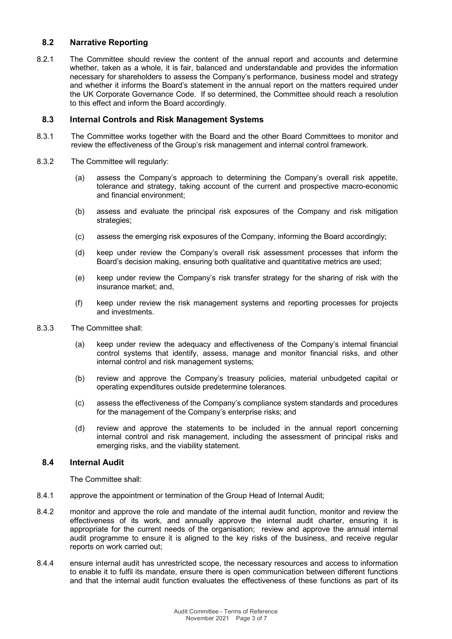# **8.2 Narrative Reporting**

8.2.1 The Committee should review the content of the annual report and accounts and determine whether, taken as a whole, it is fair, balanced and understandable and provides the information necessary for shareholders to assess the Company's performance, business model and strategy and whether it informs the Board's statement in the annual report on the matters required under the UK Corporate Governance Code. If so determined, the Committee should reach a resolution to this effect and inform the Board accordingly.

#### **8.3 Internal Controls and Risk Management Systems**

- 8.3.1 The Committee works together with the Board and the other Board Committees to monitor and review the effectiveness of the Group's risk management and internal control framework.
- 8.3.2 The Committee will regularly:
	- (a) assess the Company's approach to determining the Company's overall risk appetite, tolerance and strategy, taking account of the current and prospective macro-economic and financial environment;
	- (b) assess and evaluate the principal risk exposures of the Company and risk mitigation strategies;
	- (c) assess the emerging risk exposures of the Company, informing the Board accordingly;
	- (d) keep under review the Company's overall risk assessment processes that inform the Board's decision making, ensuring both qualitative and quantitative metrics are used;
	- (e) keep under review the Company's risk transfer strategy for the sharing of risk with the insurance market; and,
	- (f) keep under review the risk management systems and reporting processes for projects and investments.
- 8.3.3 The Committee shall:
	- (a) keep under review the adequacy and effectiveness of the Company's internal financial control systems that identify, assess, manage and monitor financial risks, and other internal control and risk management systems;
	- (b) review and approve the Company's treasury policies, material unbudgeted capital or operating expenditures outside predetermine tolerances.
	- (c) assess the effectiveness of the Company's compliance system standards and procedures for the management of the Company's enterprise risks; and
	- (d) review and approve the statements to be included in the annual report concerning internal control and risk management, including the assessment of principal risks and emerging risks, and the viability statement.

#### **8.4 Internal Audit**

The Committee shall:

- 8.4.1 approve the appointment or termination of the Group Head of Internal Audit;
- 8.4.2 monitor and approve the role and mandate of the internal audit function, monitor and review the effectiveness of its work, and annually approve the internal audit charter, ensuring it is appropriate for the current needs of the organisation; review and approve the annual internal audit programme to ensure it is aligned to the key risks of the business, and receive regular reports on work carried out;
- 8.4.4 ensure internal audit has unrestricted scope, the necessary resources and access to information to enable it to fulfil its mandate, ensure there is open communication between different functions and that the internal audit function evaluates the effectiveness of these functions as part of its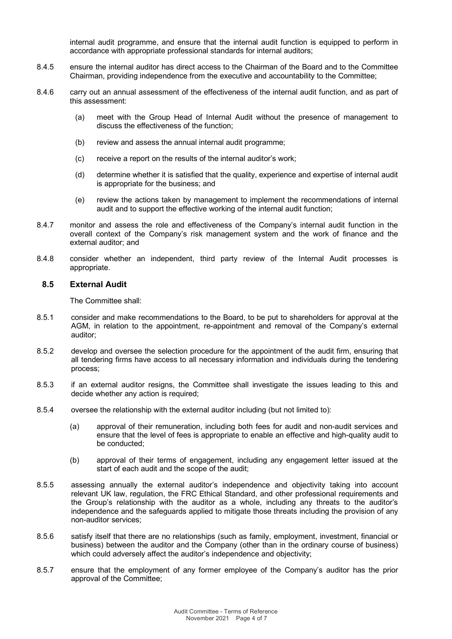internal audit programme, and ensure that the internal audit function is equipped to perform in accordance with appropriate professional standards for internal auditors;

- 8.4.5 ensure the internal auditor has direct access to the Chairman of the Board and to the Committee Chairman, providing independence from the executive and accountability to the Committee;
- 8.4.6 carry out an annual assessment of the effectiveness of the internal audit function, and as part of this assessment:
	- (a) meet with the Group Head of Internal Audit without the presence of management to discuss the effectiveness of the function;
	- (b) review and assess the annual internal audit programme;
	- (c) receive a report on the results of the internal auditor's work;
	- (d) determine whether it is satisfied that the quality, experience and expertise of internal audit is appropriate for the business; and
	- (e) review the actions taken by management to implement the recommendations of internal audit and to support the effective working of the internal audit function;
- 8.4.7 monitor and assess the role and effectiveness of the Company's internal audit function in the overall context of the Company's risk management system and the work of finance and the external auditor; and
- 8.4.8 consider whether an independent, third party review of the Internal Audit processes is appropriate.

#### **8.5 External Audit**

The Committee shall:

- 8.5.1 consider and make recommendations to the Board, to be put to shareholders for approval at the AGM, in relation to the appointment, re-appointment and removal of the Company's external auditor;
- 8.5.2 develop and oversee the selection procedure for the appointment of the audit firm, ensuring that all tendering firms have access to all necessary information and individuals during the tendering process;
- 8.5.3 if an external auditor resigns, the Committee shall investigate the issues leading to this and decide whether any action is required;
- 8.5.4 oversee the relationship with the external auditor including (but not limited to):
	- (a) approval of their remuneration, including both fees for audit and non-audit services and ensure that the level of fees is appropriate to enable an effective and high-quality audit to be conducted;
	- (b) approval of their terms of engagement, including any engagement letter issued at the start of each audit and the scope of the audit;
- 8.5.5 assessing annually the external auditor's independence and objectivity taking into account relevant UK law, regulation, the FRC Ethical Standard, and other professional requirements and the Group's relationship with the auditor as a whole, including any threats to the auditor's independence and the safeguards applied to mitigate those threats including the provision of any non-auditor services;
- 8.5.6 satisfy itself that there are no relationships (such as family, employment, investment, financial or business) between the auditor and the Company (other than in the ordinary course of business) which could adversely affect the auditor's independence and objectivity;
- 8.5.7 ensure that the employment of any former employee of the Company's auditor has the prior approval of the Committee;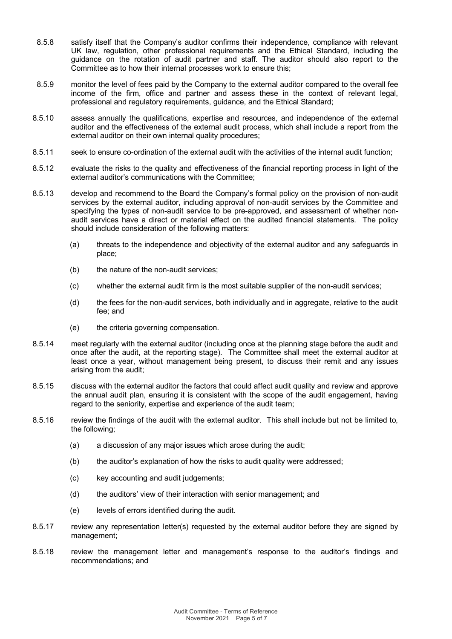- 8.5.8 satisfy itself that the Company's auditor confirms their independence, compliance with relevant UK law, regulation, other professional requirements and the Ethical Standard, including the guidance on the rotation of audit partner and staff. The auditor should also report to the Committee as to how their internal processes work to ensure this;
- 8.5.9 monitor the level of fees paid by the Company to the external auditor compared to the overall fee income of the firm, office and partner and assess these in the context of relevant legal, professional and regulatory requirements, guidance, and the Ethical Standard;
- 8.5.10 assess annually the qualifications, expertise and resources, and independence of the external auditor and the effectiveness of the external audit process, which shall include a report from the external auditor on their own internal quality procedures;
- 8.5.11 seek to ensure co-ordination of the external audit with the activities of the internal audit function;
- 8.5.12 evaluate the risks to the quality and effectiveness of the financial reporting process in light of the external auditor's communications with the Committee;
- 8.5.13 develop and recommend to the Board the Company's formal policy on the provision of non-audit services by the external auditor, including approval of non-audit services by the Committee and specifying the types of non-audit service to be pre-approved, and assessment of whether nonaudit services have a direct or material effect on the audited financial statements. The policy should include consideration of the following matters:
	- (a) threats to the independence and objectivity of the external auditor and any safeguards in place;
	- (b) the nature of the non-audit services;
	- (c) whether the external audit firm is the most suitable supplier of the non-audit services;
	- (d) the fees for the non-audit services, both individually and in aggregate, relative to the audit fee; and
	- (e) the criteria governing compensation.
- 8.5.14 meet regularly with the external auditor (including once at the planning stage before the audit and once after the audit, at the reporting stage). The Committee shall meet the external auditor at least once a year, without management being present, to discuss their remit and any issues arising from the audit;
- 8.5.15 discuss with the external auditor the factors that could affect audit quality and review and approve the annual audit plan, ensuring it is consistent with the scope of the audit engagement, having regard to the seniority, expertise and experience of the audit team;
- 8.5.16 review the findings of the audit with the external auditor. This shall include but not be limited to, the following;
	- (a) a discussion of any major issues which arose during the audit;
	- (b) the auditor's explanation of how the risks to audit quality were addressed;
	- (c) key accounting and audit judgements;
	- (d) the auditors' view of their interaction with senior management; and
	- (e) levels of errors identified during the audit.
- 8.5.17 review any representation letter(s) requested by the external auditor before they are signed by management;
- 8.5.18 review the management letter and management's response to the auditor's findings and recommendations; and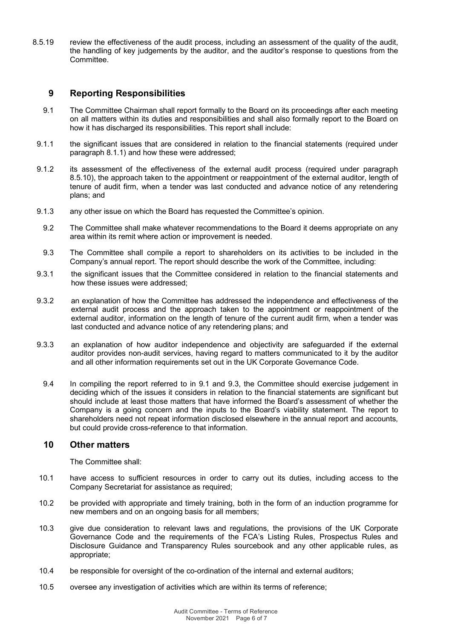8.5.19 review the effectiveness of the audit process, including an assessment of the quality of the audit, the handling of key judgements by the auditor, and the auditor's response to questions from the Committee.

# **9 Reporting Responsibilities**

- 9.1 The Committee Chairman shall report formally to the Board on its proceedings after each meeting on all matters within its duties and responsibilities and shall also formally report to the Board on how it has discharged its responsibilities. This report shall include:
- 9.1.1 the significant issues that are considered in relation to the financial statements (required under paragraph 8.1.1) and how these were addressed;
- 9.1.2 its assessment of the effectiveness of the external audit process (required under paragraph 8.5.10), the approach taken to the appointment or reappointment of the external auditor, length of tenure of audit firm, when a tender was last conducted and advance notice of any retendering plans; and
- 9.1.3 any other issue on which the Board has requested the Committee's opinion.
- 9.2 The Committee shall make whatever recommendations to the Board it deems appropriate on any area within its remit where action or improvement is needed.
- 9.3 The Committee shall compile a report to shareholders on its activities to be included in the Company's annual report. The report should describe the work of the Committee, including:
- 9.3.1 the significant issues that the Committee considered in relation to the financial statements and how these issues were addressed;
- 9.3.2 an explanation of how the Committee has addressed the independence and effectiveness of the external audit process and the approach taken to the appointment or reappointment of the external auditor, information on the length of tenure of the current audit firm, when a tender was last conducted and advance notice of any retendering plans; and
- 9.3.3 an explanation of how auditor independence and objectivity are safeguarded if the external auditor provides non-audit services, having regard to matters communicated to it by the auditor and all other information requirements set out in the UK Corporate Governance Code.
	- 9.4 In compiling the report referred to in 9.1 and 9.3, the Committee should exercise judgement in deciding which of the issues it considers in relation to the financial statements are significant but should include at least those matters that have informed the Board's assessment of whether the Company is a going concern and the inputs to the Board's viability statement. The report to shareholders need not repeat information disclosed elsewhere in the annual report and accounts, but could provide cross-reference to that information.

# **10 Other matters**

The Committee shall:

- 10.1 have access to sufficient resources in order to carry out its duties, including access to the Company Secretariat for assistance as required;
- 10.2 be provided with appropriate and timely training, both in the form of an induction programme for new members and on an ongoing basis for all members;
- 10.3 give due consideration to relevant laws and regulations, the provisions of the UK Corporate Governance Code and the requirements of the FCA's Listing Rules, Prospectus Rules and Disclosure Guidance and Transparency Rules sourcebook and any other applicable rules, as appropriate;
- 10.4 be responsible for oversight of the co-ordination of the internal and external auditors;
- 10.5 oversee any investigation of activities which are within its terms of reference;